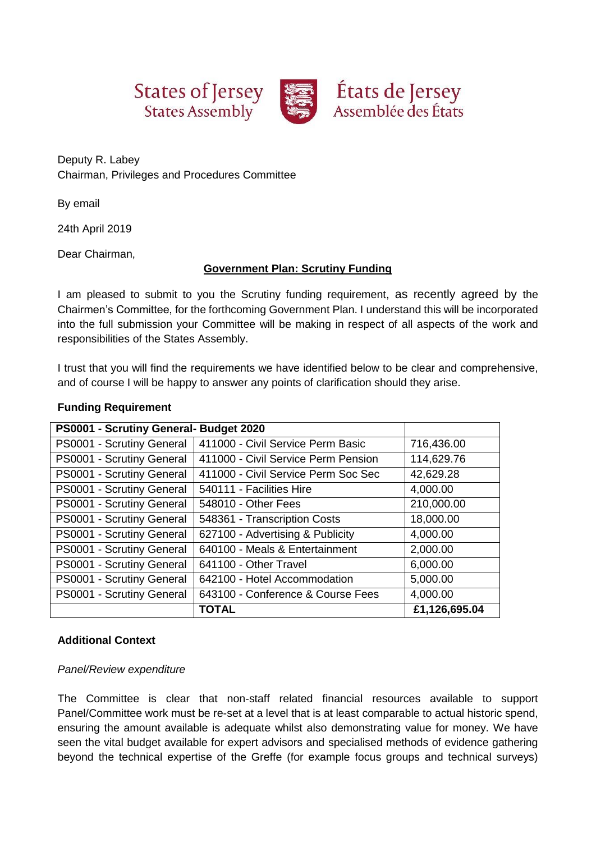





Deputy R. Labey Chairman, Privileges and Procedures Committee

By email

24th April 2019

Dear Chairman,

# **Government Plan: Scrutiny Funding**

I am pleased to submit to you the Scrutiny funding requirement, as recently agreed by the Chairmen's Committee, for the forthcoming Government Plan. I understand this will be incorporated into the full submission your Committee will be making in respect of all aspects of the work and responsibilities of the States Assembly.

I trust that you will find the requirements we have identified below to be clear and comprehensive, and of course I will be happy to answer any points of clarification should they arise.

## **Funding Requirement**

| PS0001 - Scrutiny General- Budget 2020 |                                     |               |
|----------------------------------------|-------------------------------------|---------------|
| PS0001 - Scrutiny General              | 411000 - Civil Service Perm Basic   | 716,436.00    |
| PS0001 - Scrutiny General              | 411000 - Civil Service Perm Pension | 114,629.76    |
| PS0001 - Scrutiny General              | 411000 - Civil Service Perm Soc Sec | 42,629.28     |
| PS0001 - Scrutiny General              | 540111 - Facilities Hire            | 4,000.00      |
| PS0001 - Scrutiny General              | 548010 - Other Fees                 | 210,000.00    |
| PS0001 - Scrutiny General              | 548361 - Transcription Costs        | 18,000.00     |
| PS0001 - Scrutiny General              | 627100 - Advertising & Publicity    | 4,000.00      |
| PS0001 - Scrutiny General              | 640100 - Meals & Entertainment      | 2,000.00      |
| PS0001 - Scrutiny General              | 641100 - Other Travel               | 6,000.00      |
| PS0001 - Scrutiny General              | 642100 - Hotel Accommodation        | 5,000.00      |
| PS0001 - Scrutiny General              | 643100 - Conference & Course Fees   | 4,000.00      |
|                                        | <b>TOTAL</b>                        | £1,126,695.04 |

### **Additional Context**

### *Panel/Review expenditure*

The Committee is clear that non-staff related financial resources available to support Panel/Committee work must be re-set at a level that is at least comparable to actual historic spend, ensuring the amount available is adequate whilst also demonstrating value for money. We have seen the vital budget available for expert advisors and specialised methods of evidence gathering beyond the technical expertise of the Greffe (for example focus groups and technical surveys)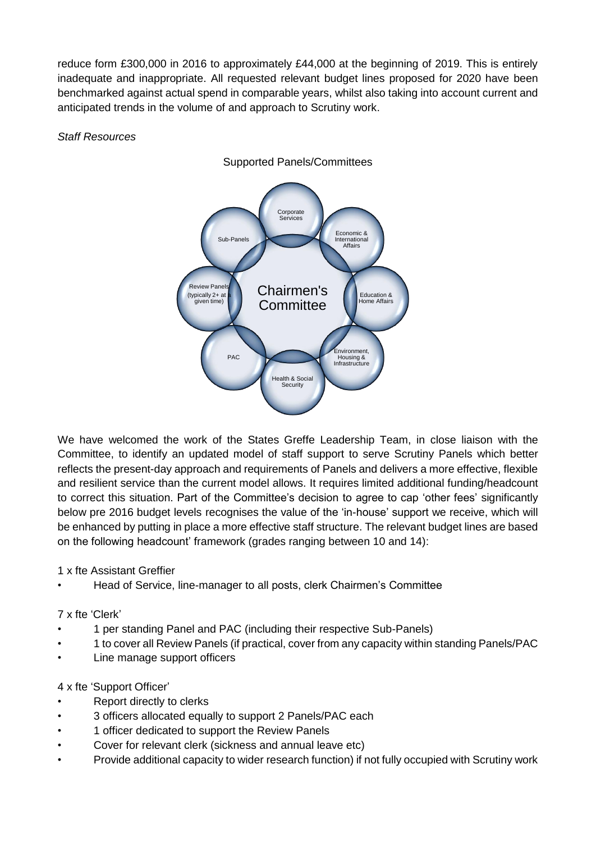reduce form £300,000 in 2016 to approximately £44,000 at the beginning of 2019. This is entirely inadequate and inappropriate. All requested relevant budget lines proposed for 2020 have been benchmarked against actual spend in comparable years, whilst also taking into account current and anticipated trends in the volume of and approach to Scrutiny work.

*Staff Resources*



We have welcomed the work of the States Greffe Leadership Team, in close liaison with the Committee, to identify an updated model of staff support to serve Scrutiny Panels which better reflects the present-day approach and requirements of Panels and delivers a more effective, flexible and resilient service than the current model allows. It requires limited additional funding/headcount to correct this situation. Part of the Committee's decision to agree to cap 'other fees' significantly below pre 2016 budget levels recognises the value of the 'in-house' support we receive, which will be enhanced by putting in place a more effective staff structure. The relevant budget lines are based on the following headcount' framework (grades ranging between 10 and 14):

1 x fte Assistant Greffier

• Head of Service, line-manager to all posts, clerk Chairmen's Committee

7 x fte 'Clerk'

- 1 per standing Panel and PAC (including their respective Sub-Panels)
- 1 to cover all Review Panels (if practical, cover from any capacity within standing Panels/PAC
- Line manage support officers

4 x fte 'Support Officer'

- Report directly to clerks
- 3 officers allocated equally to support 2 Panels/PAC each
- 1 officer dedicated to support the Review Panels
- Cover for relevant clerk (sickness and annual leave etc)
- Provide additional capacity to wider research function) if not fully occupied with Scrutiny work